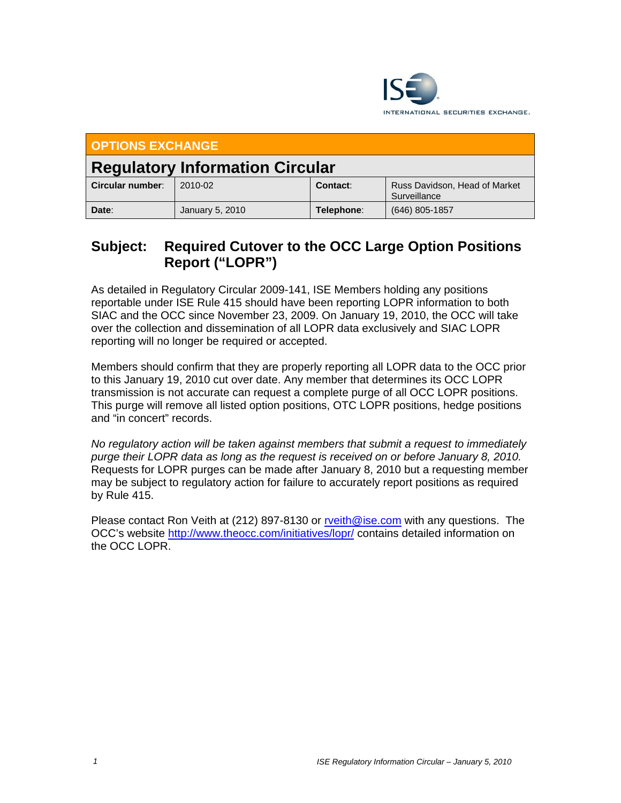

| <b>OPTIONS EXCHANGE</b>                |                 |            |                                               |  |
|----------------------------------------|-----------------|------------|-----------------------------------------------|--|
| <b>Regulatory Information Circular</b> |                 |            |                                               |  |
| Circular number:                       | 2010-02         | Contact:   | Russ Davidson, Head of Market<br>Surveillance |  |
| Date:                                  | January 5, 2010 | Telephone: | $(646)$ 805-1857                              |  |

## **Subject: Required Cutover to the OCC Large Option Positions Report ("LOPR")**

As detailed in Regulatory Circular 2009-141, ISE Members holding any positions reportable under ISE Rule 415 should have been reporting LOPR information to both SIAC and the OCC since November 23, 2009. On January 19, 2010, the OCC will take over the collection and dissemination of all LOPR data exclusively and SIAC LOPR reporting will no longer be required or accepted.

Members should confirm that they are properly reporting all LOPR data to the OCC prior to this January 19, 2010 cut over date. Any member that determines its OCC LOPR transmission is not accurate can request a complete purge of all OCC LOPR positions. This purge will remove all listed option positions, OTC LOPR positions, hedge positions and "in concert" records.

*No regulatory action will be taken against members that submit a request to immediately purge their LOPR data as long as the request is received on or before January 8, 2010.* Requests for LOPR purges can be made after January 8, 2010 but a requesting member may be subject to regulatory action for failure to accurately report positions as required by Rule 415.

Please contact Ron Veith at (212) 897-8130 or rveith@ise.com with any questions. The OCC's website http://www.theocc.com/initiatives/lopr/ contains detailed information on the OCC LOPR.